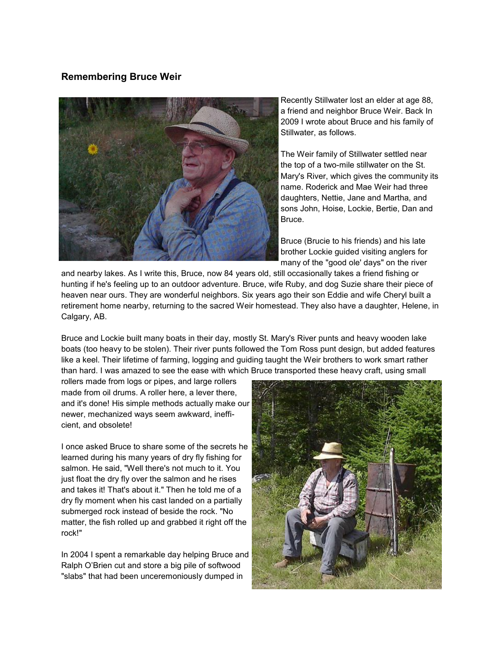## **Remembering Bruce Weir**



Recently Stillwater lost an elder at age 88, a friend and neighbor Bruce Weir. Back In 2009 I wrote about Bruce and his family of Stillwater, as follows.

The Weir family of Stillwater settled near the top of a two-mile stillwater on the St. Mary's River, which gives the community its name. Roderick and Mae Weir had three daughters, Nettie, Jane and Martha, and sons John, Hoise, Lockie, Bertie, Dan and Bruce.

Bruce (Brucie to his friends) and his late brother Lockie guided visiting anglers for many of the "good ole' days" on the river

and nearby lakes. As I write this, Bruce, now 84 years old, still occasionally takes a friend fishing or hunting if he's feeling up to an outdoor adventure. Bruce, wife Ruby, and dog Suzie share their piece of heaven near ours. They are wonderful neighbors. Six years ago their son Eddie and wife Cheryl built a retirement home nearby, returning to the sacred Weir homestead. They also have a daughter, Helene, in Calgary, AB.

Bruce and Lockie built many boats in their day, mostly St. Mary's River punts and heavy wooden lake boats (too heavy to be stolen). Their river punts followed the Tom Ross punt design, but added features like a keel. Their lifetime of farming, logging and guiding taught the Weir brothers to work smart rather than hard. I was amazed to see the ease with which Bruce transported these heavy craft, using small

rollers made from logs or pipes, and large rollers made from oil drums. A roller here, a lever there, and it's done! His simple methods actually make our newer, mechanized ways seem awkward, inefficient, and obsolete!

I once asked Bruce to share some of the secrets he learned during his many years of dry fly fishing for salmon. He said, "Well there's not much to it. You just float the dry fly over the salmon and he rises and takes it! That's about it." Then he told me of a dry fly moment when his cast landed on a partially submerged rock instead of beside the rock. "No matter, the fish rolled up and grabbed it right off the rock!"

In 2004 I spent a remarkable day helping Bruce and Ralph O'Brien cut and store a big pile of softwood "slabs" that had been unceremoniously dumped in